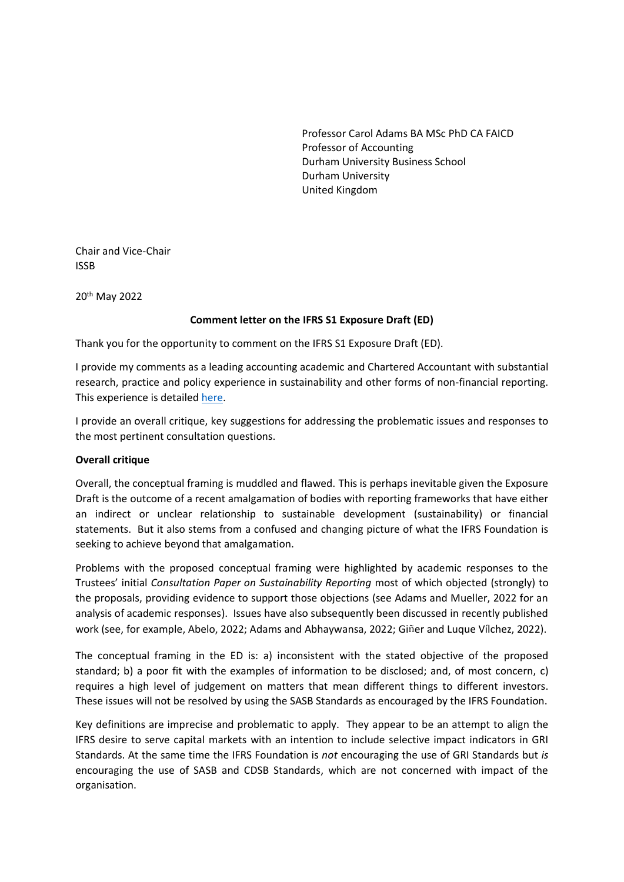Professor Carol Adams BA MSc PhD CA FAICD Professor of Accounting Durham University Business School Durham University United Kingdom

Chair and Vice-Chair ISSB

20th May 2022

### **Comment letter on the IFRS S1 Exposure Draft (ED)**

Thank you for the opportunity to comment on the IFRS S1 Exposure Draft (ED).

I provide my comments as a leading accounting academic and Chartered Accountant with substantial research, practice and policy experience in sustainability and other forms of non-financial reporting. This experience is detailed [here.](https://www.durham.ac.uk/business/our-people/carol-adams/)

I provide an overall critique, key suggestions for addressing the problematic issues and responses to the most pertinent consultation questions.

### **Overall critique**

Overall, the conceptual framing is muddled and flawed. This is perhaps inevitable given the Exposure Draft is the outcome of a recent amalgamation of bodies with reporting frameworks that have either an indirect or unclear relationship to sustainable development (sustainability) or financial statements. But it also stems from a confused and changing picture of what the IFRS Foundation is seeking to achieve beyond that amalgamation.

Problems with the proposed conceptual framing were highlighted by academic responses to the Trustees' initial *Consultation Paper on Sustainability Reporting* most of which objected (strongly) to the proposals, providing evidence to support those objections (see Adams and Mueller, 2022 for an analysis of academic responses). Issues have also subsequently been discussed in recently published work (see, for example, Abelo, 2022; Adams and Abhaywansa, 2022; Giñer and Luque Vílchez, 2022).

The conceptual framing in the ED is: a) inconsistent with the stated objective of the proposed standard; b) a poor fit with the examples of information to be disclosed; and, of most concern, c) requires a high level of judgement on matters that mean different things to different investors. These issues will not be resolved by using the SASB Standards as encouraged by the IFRS Foundation.

Key definitions are imprecise and problematic to apply. They appear to be an attempt to align the IFRS desire to serve capital markets with an intention to include selective impact indicators in GRI Standards. At the same time the IFRS Foundation is *not* encouraging the use of GRI Standards but *is* encouraging the use of SASB and CDSB Standards, which are not concerned with impact of the organisation.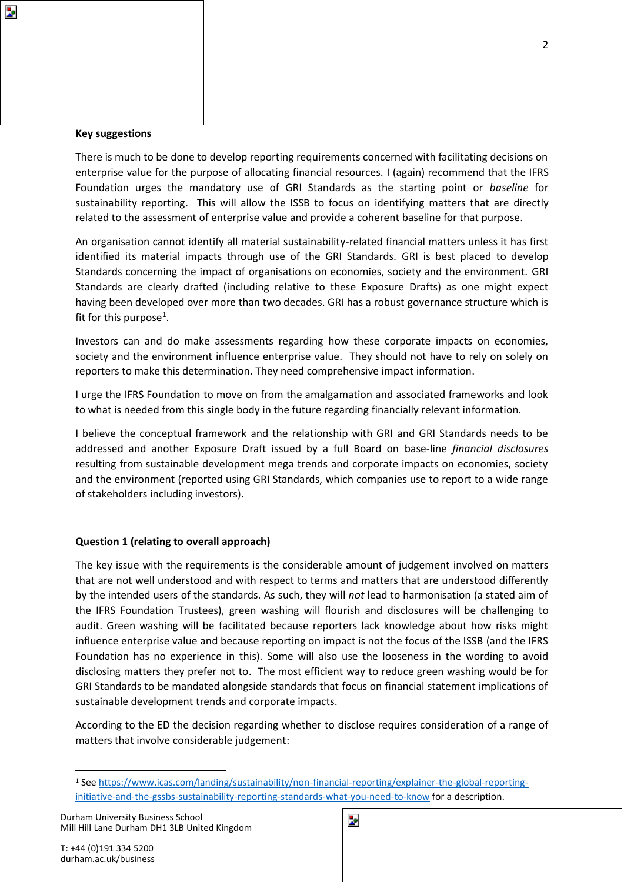#### **Key suggestions**

Þ.

There is much to be done to develop reporting requirements concerned with facilitating decisions on enterprise value for the purpose of allocating financial resources. I (again) recommend that the IFRS Foundation urges the mandatory use of GRI Standards as the starting point or *baseline* for sustainability reporting. This will allow the ISSB to focus on identifying matters that are directly related to the assessment of enterprise value and provide a coherent baseline for that purpose.

An organisation cannot identify all material sustainability-related financial matters unless it has first identified its material impacts through use of the GRI Standards. GRI is best placed to develop Standards concerning the impact of organisations on economies, society and the environment. GRI Standards are clearly drafted (including relative to these Exposure Drafts) as one might expect having been developed over more than two decades. GRI has a robust governance structure which is fit for this purpose<sup>1</sup>.

Investors can and do make assessments regarding how these corporate impacts on economies, society and the environment influence enterprise value. They should not have to rely on solely on reporters to make this determination. They need comprehensive impact information.

I urge the IFRS Foundation to move on from the amalgamation and associated frameworks and look to what is needed from this single body in the future regarding financially relevant information.

I believe the conceptual framework and the relationship with GRI and GRI Standards needs to be addressed and another Exposure Draft issued by a full Board on base-line *financial disclosures* resulting from sustainable development mega trends and corporate impacts on economies, society and the environment (reported using GRI Standards, which companies use to report to a wide range of stakeholders including investors).

### **Question 1 (relating to overall approach)**

The key issue with the requirements is the considerable amount of judgement involved on matters that are not well understood and with respect to terms and matters that are understood differently by the intended users of the standards. As such, they will *not* lead to harmonisation (a stated aim of the IFRS Foundation Trustees), green washing will flourish and disclosures will be challenging to audit. Green washing will be facilitated because reporters lack knowledge about how risks might influence enterprise value and because reporting on impact is not the focus of the ISSB (and the IFRS Foundation has no experience in this). Some will also use the looseness in the wording to avoid disclosing matters they prefer not to. The most efficient way to reduce green washing would be for GRI Standards to be mandated alongside standards that focus on financial statement implications of sustainable development trends and corporate impacts.

According to the ED the decision regarding whether to disclose requires consideration of a range of matters that involve considerable judgement:

<sup>1</sup> See [https://www.icas.com/landing/sustainability/non-financial-reporting/explainer-the-global-reporting](https://www.icas.com/landing/sustainability/non-financial-reporting/explainer-the-global-reporting-initiative-and-the-gssbs-sustainability-reporting-standards-what-you-need-to-know)[initiative-and-the-gssbs-sustainability-reporting-standards-what-you-need-to-know](https://www.icas.com/landing/sustainability/non-financial-reporting/explainer-the-global-reporting-initiative-and-the-gssbs-sustainability-reporting-standards-what-you-need-to-know) for a description.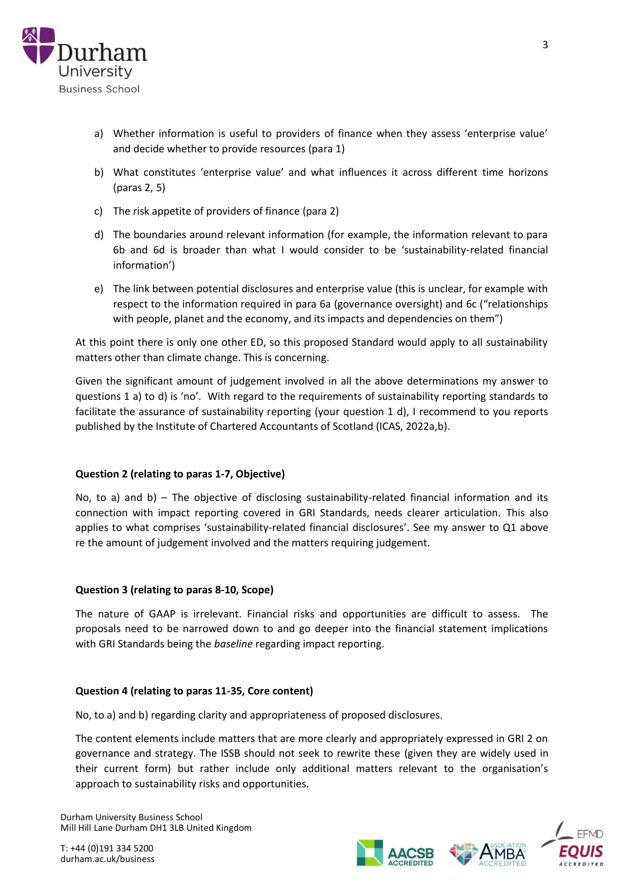

- a) Whether information is useful to providers of finance when they assess 'enterprise value' and decide whether to provide resources (para 1)
- b) What constitutes 'enterprise value' and what influences it across different time horizons (paras 2, 5)
- c) The risk appetite of providers of finance (para 2)
- d) The boundaries around relevant information (for example, the information relevant to para 6b and 6d is broader than what I would consider to be 'sustainability-related financial information')
- e) The link between potential disclosures and enterprise value (this is unclear, for example with respect to the information required in para 6a (governance oversight) and 6c ("relationships with people, planet and the economy, and its impacts and dependencies on them")

At this point there is only one other ED, so this proposed Standard would apply to all sustainability matters other than climate change. This is concerning.

Given the significant amount of judgement involved in all the above determinations my answer to questions 1 a) to d) is 'no'. With regard to the requirements of sustainability reporting standards to facilitate the assurance of sustainability reporting (your question 1 d), I recommend to you reports published by the Institute of Chartered Accountants of Scotland (ICAS, 2022a,b).

# **Question 2 (relating to paras 1-7, Objective)**

No, to a) and b) – The objective of disclosing sustainability-related financial information and its connection with impact reporting covered in GRI Standards, needs clearer articulation. This also applies to what comprises 'sustainability-related financial disclosures'. See my answer to Q1 above re the amount of judgement involved and the matters requiring judgement.

### **Question 3 (relating to paras 8-10, Scope)**

The nature of GAAP is irrelevant. Financial risks and opportunities are difficult to assess. The proposals need to be narrowed down to and go deeper into the financial statement implications with GRI Standards being the *baseline* regarding impact reporting.

### **Question 4 (relating to paras 11-35, Core content)**

No, to a) and b) regarding clarity and appropriateness of proposed disclosures.

The content elements include matters that are more clearly and appropriately expressed in GRI 2 on governance and strategy. The ISSB should not seek to rewrite these (given they are widely used in their current form) but rather include only additional matters relevant to the organisation's approach to sustainability risks and opportunities.

Durham University Business School Mill Hill Lane Durham DH1 3LB United Kingdom





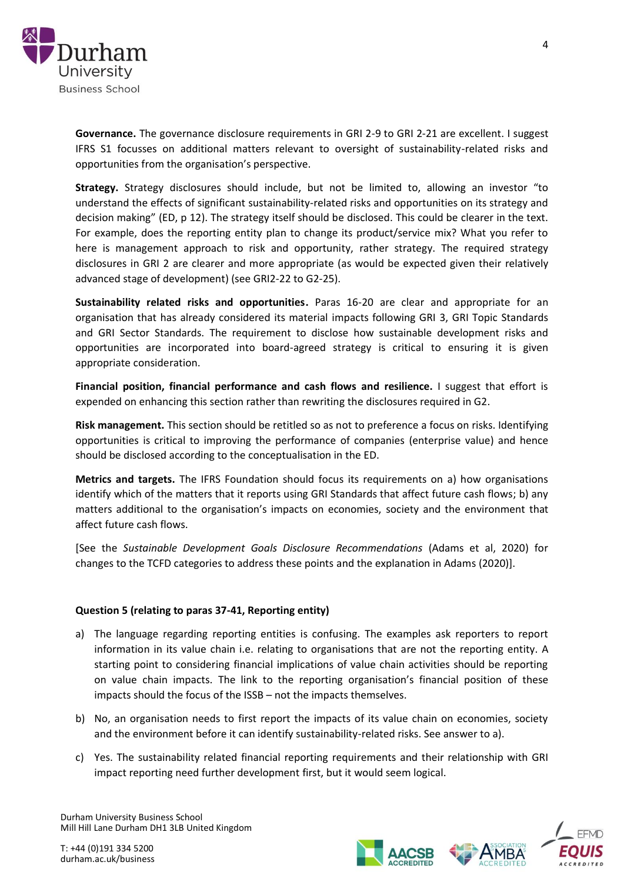

**Governance.** The governance disclosure requirements in GRI 2-9 to GRI 2-21 are excellent. I suggest IFRS S1 focusses on additional matters relevant to oversight of sustainability-related risks and opportunities from the organisation's perspective.

**Strategy.** Strategy disclosures should include, but not be limited to, allowing an investor "to understand the effects of significant sustainability-related risks and opportunities on its strategy and decision making" (ED, p 12). The strategy itself should be disclosed. This could be clearer in the text. For example, does the reporting entity plan to change its product/service mix? What you refer to here is management approach to risk and opportunity, rather strategy. The required strategy disclosures in GRI 2 are clearer and more appropriate (as would be expected given their relatively advanced stage of development) (see GRI2-22 to G2-25).

**Sustainability related risks and opportunities.** Paras 16-20 are clear and appropriate for an organisation that has already considered its material impacts following GRI 3, GRI Topic Standards and GRI Sector Standards. The requirement to disclose how sustainable development risks and opportunities are incorporated into board-agreed strategy is critical to ensuring it is given appropriate consideration.

**Financial position, financial performance and cash flows and resilience.** I suggest that effort is expended on enhancing this section rather than rewriting the disclosures required in G2.

**Risk management.** This section should be retitled so as not to preference a focus on risks. Identifying opportunities is critical to improving the performance of companies (enterprise value) and hence should be disclosed according to the conceptualisation in the ED.

**Metrics and targets.** The IFRS Foundation should focus its requirements on a) how organisations identify which of the matters that it reports using GRI Standards that affect future cash flows; b) any matters additional to the organisation's impacts on economies, society and the environment that affect future cash flows.

[See the *Sustainable Development Goals Disclosure Recommendations* (Adams et al, 2020) for changes to the TCFD categories to address these points and the explanation in Adams (2020)].

# **Question 5 (relating to paras 37-41, Reporting entity)**

- a) The language regarding reporting entities is confusing. The examples ask reporters to report information in its value chain i.e. relating to organisations that are not the reporting entity. A starting point to considering financial implications of value chain activities should be reporting on value chain impacts. The link to the reporting organisation's financial position of these impacts should the focus of the ISSB – not the impacts themselves.
- b) No, an organisation needs to first report the impacts of its value chain on economies, society and the environment before it can identify sustainability-related risks. See answer to a).
- c) Yes. The sustainability related financial reporting requirements and their relationship with GRI impact reporting need further development first, but it would seem logical.

Durham University Business School Mill Hill Lane Durham DH1 3LB United Kingdom





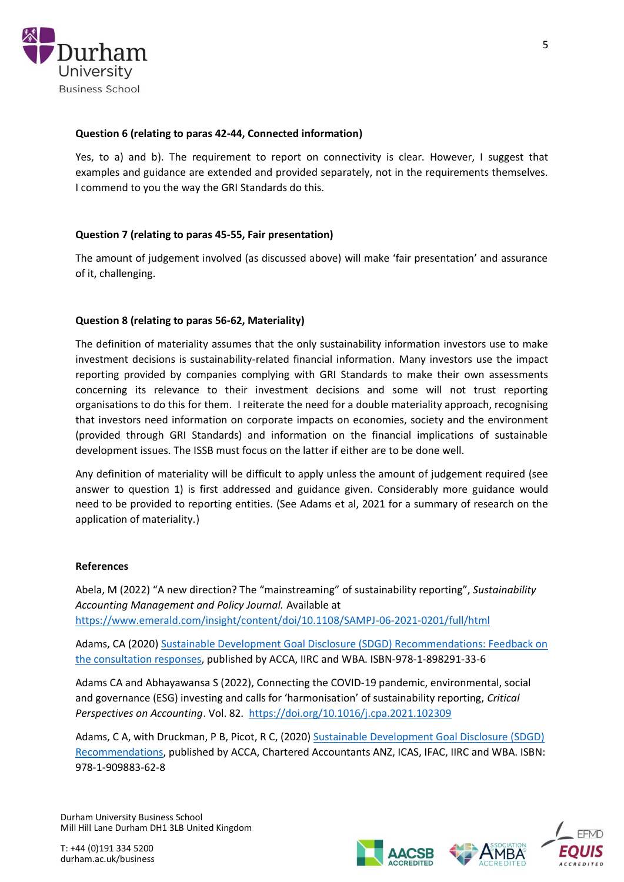

## **Question 6 (relating to paras 42-44, Connected information)**

Yes, to a) and b). The requirement to report on connectivity is clear. However, I suggest that examples and guidance are extended and provided separately, not in the requirements themselves. I commend to you the way the GRI Standards do this.

## **Question 7 (relating to paras 45-55, Fair presentation)**

The amount of judgement involved (as discussed above) will make 'fair presentation' and assurance of it, challenging.

## **Question 8 (relating to paras 56-62, Materiality)**

The definition of materiality assumes that the only sustainability information investors use to make investment decisions is sustainability-related financial information. Many investors use the impact reporting provided by companies complying with GRI Standards to make their own assessments concerning its relevance to their investment decisions and some will not trust reporting organisations to do this for them. I reiterate the need for a double materiality approach, recognising that investors need information on corporate impacts on economies, society and the environment (provided through GRI Standards) and information on the financial implications of sustainable development issues. The ISSB must focus on the latter if either are to be done well.

Any definition of materiality will be difficult to apply unless the amount of judgement required (see answer to question 1) is first addressed and guidance given. Considerably more guidance would need to be provided to reporting entities. (See Adams et al, 2021 for a summary of research on the application of materiality.)

### **References**

Abela, M (2022) "A new direction? The "mainstreaming" of sustainability reporting", *Sustainability Accounting Management and Policy Journal.* Available at <https://www.emerald.com/insight/content/doi/10.1108/SAMPJ-06-2021-0201/full/html>

Adams, CA (2020) [Sustainable Development Goal Disclosure \(SDGD\) Recommendations: Feedback on](https://www.ifac.org/system/files/publications/files/Adams_2020_Feedback-on-the-consultation.pdf)  [the consultation responses,](https://www.ifac.org/system/files/publications/files/Adams_2020_Feedback-on-the-consultation.pdf) published by ACCA, IIRC and WBA. ISBN-978-1-898291-33-6

Adams CA and Abhayawansa S (2022), Connecting the COVID-19 pandemic, environmental, social and governance (ESG) investing and calls for 'harmonisation' of sustainability reporting, *Critical Perspectives on Accounting*. Vol. 82.<https://doi.org/10.1016/j.cpa.2021.102309>

Adams, C A, with Druckman, P B, Picot, R C, (2020) [Sustainable Development Goal Disclosure \(SDGD\)](https://drcaroladams.net/content/wp-content/uploads/2020/03/Adams_Druckman_Picot_2020_Final_SDGD_Recommendations_updated.pdf)  [Recommendations,](https://drcaroladams.net/content/wp-content/uploads/2020/03/Adams_Druckman_Picot_2020_Final_SDGD_Recommendations_updated.pdf) published by ACCA, Chartered Accountants ANZ, ICAS, IFAC, IIRC and WBA. ISBN: 978-1-909883-62-8

Durham University Business School Mill Hill Lane Durham DH1 3LB United Kingdom